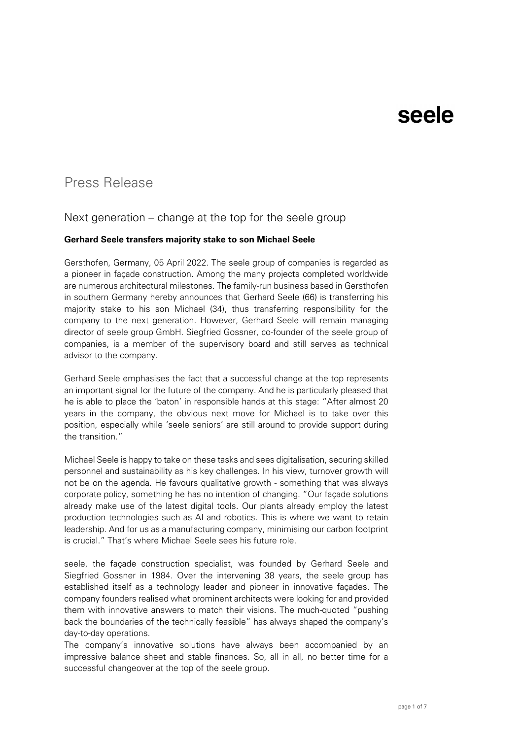### Press Release

### Next generation – change at the top for the seele group

#### **Gerhard Seele transfers majority stake to son Michael Seele**

Gersthofen, Germany, 05 April 2022. The seele group of companies is regarded as a pioneer in façade construction. Among the many projects completed worldwide are numerous architectural milestones. The family-run business based in Gersthofen in southern Germany hereby announces that Gerhard Seele (66) is transferring his majority stake to his son Michael (34), thus transferring responsibility for the company to the next generation. However, Gerhard Seele will remain managing director of seele group GmbH. Siegfried Gossner, co-founder of the seele group of companies, is a member of the supervisory board and still serves as technical advisor to the company.

Gerhard Seele emphasises the fact that a successful change at the top represents an important signal for the future of the company. And he is particularly pleased that he is able to place the 'baton' in responsible hands at this stage: "After almost 20 years in the company, the obvious next move for Michael is to take over this position, especially while 'seele seniors' are still around to provide support during the transition."

Michael Seele is happy to take on these tasks and sees digitalisation, securing skilled personnel and sustainability as his key challenges. In his view, turnover growth will not be on the agenda. He favours qualitative growth - something that was always corporate policy, something he has no intention of changing. "Our façade solutions already make use of the latest digital tools. Our plants already employ the latest production technologies such as AI and robotics. This is where we want to retain leadership. And for us as a manufacturing company, minimising our carbon footprint is crucial." That's where Michael Seele sees his future role.

seele, the façade construction specialist, was founded by Gerhard Seele and Siegfried Gossner in 1984. Over the intervening 38 years, the seele group has established itself as a technology leader and pioneer in innovative façades. The company founders realised what prominent architects were looking for and provided them with innovative answers to match their visions. The much-quoted "pushing back the boundaries of the technically feasible" has always shaped the company's day-to-day operations.

The company's innovative solutions have always been accompanied by an impressive balance sheet and stable finances. So, all in all, no better time for a successful changeover at the top of the seele group.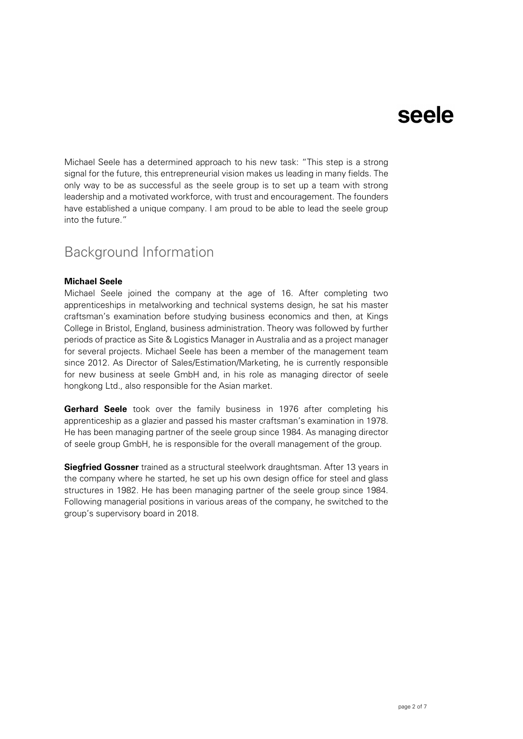Michael Seele has a determined approach to his new task: "This step is a strong signal for the future, this entrepreneurial vision makes us leading in many fields. The only way to be as successful as the seele group is to set up a team with strong leadership and a motivated workforce, with trust and encouragement. The founders have established a unique company. I am proud to be able to lead the seele group into the future."

### Background Information

#### **Michael Seele**

Michael Seele joined the company at the age of 16. After completing two apprenticeships in metalworking and technical systems design, he sat his master craftsman's examination before studying business economics and then, at Kings College in Bristol, England, business administration. Theory was followed by further periods of practice as Site & Logistics Manager in Australia and as a project manager for several projects. Michael Seele has been a member of the management team since 2012. As Director of Sales/Estimation/Marketing, he is currently responsible for new business at seele GmbH and, in his role as managing director of seele hongkong Ltd., also responsible for the Asian market.

**Gerhard Seele** took over the family business in 1976 after completing his apprenticeship as a glazier and passed his master craftsman's examination in 1978. He has been managing partner of the seele group since 1984. As managing director of seele group GmbH, he is responsible for the overall management of the group.

**Siegfried Gossner** trained as a structural steelwork draughtsman. After 13 years in the company where he started, he set up his own design office for steel and glass structures in 1982. He has been managing partner of the seele group since 1984. Following managerial positions in various areas of the company, he switched to the group's supervisory board in 2018.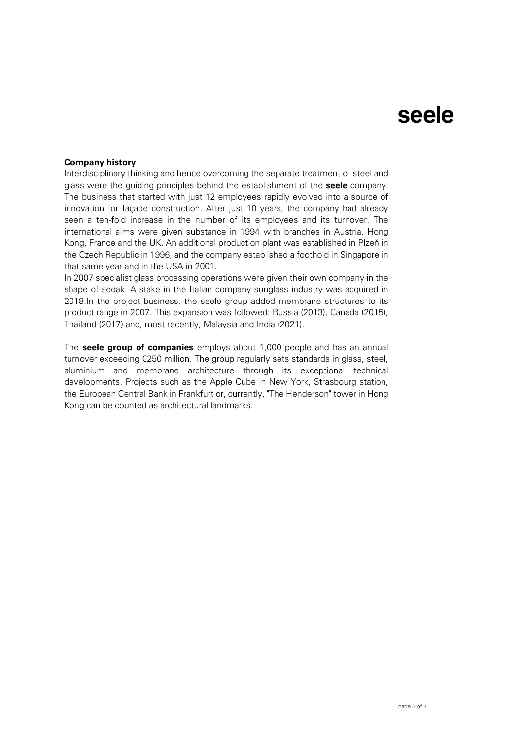#### **Company history**

Interdisciplinary thinking and hence overcoming the separate treatment of steel and glass were the guiding principles behind the establishment of the **seele** company. The business that started with just 12 employees rapidly evolved into a source of innovation for façade construction. After just 10 years, the company had already seen a ten-fold increase in the number of its employees and its turnover. The international aims were given substance in 1994 with branches in Austria, Hong Kong, France and the UK. An additional production plant was established in Plzeň in the Czech Republic in 1996, and the company established a foothold in Singapore in that same year and in the USA in 2001.

In 2007 specialist glass processing operations were given their own company in the shape of sedak. A stake in the Italian company sunglass industry was acquired in 2018.In the project business, the seele group added membrane structures to its product range in 2007. This expansion was followed: Russia (2013), Canada (2015), Thailand (2017) and, most recently, Malaysia and India (2021).

The **seele group of companies** employs about 1,000 people and has an annual turnover exceeding €250 million. The group regularly sets standards in glass, steel, aluminium and membrane architecture through its exceptional technical developments. Projects such as the Apple Cube in New York, Strasbourg station, the European Central Bank in Frankfurt or, currently, "The Henderson" tower in Hong Kong can be counted as architectural landmarks.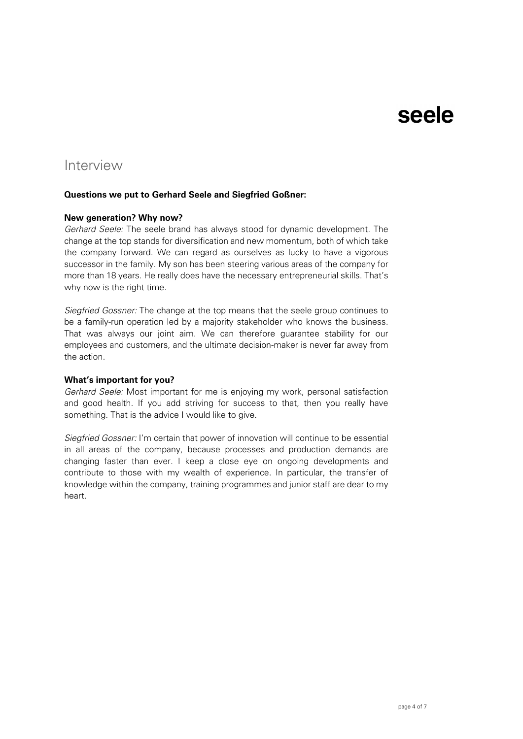### Interview

#### **Questions we put to Gerhard Seele and Siegfried Goßner:**

#### **New generation? Why now?**

*Gerhard Seele:* The seele brand has always stood for dynamic development. The change at the top stands for diversification and new momentum, both of which take the company forward. We can regard as ourselves as lucky to have a vigorous successor in the family. My son has been steering various areas of the company for more than 18 years. He really does have the necessary entrepreneurial skills. That's why now is the right time.

*Siegfried Gossner:* The change at the top means that the seele group continues to be a family-run operation led by a majority stakeholder who knows the business. That was always our joint aim. We can therefore guarantee stability for our employees and customers, and the ultimate decision-maker is never far away from the action.

#### **What's important for you?**

*Gerhard Seele:* Most important for me is enjoying my work, personal satisfaction and good health. If you add striving for success to that, then you really have something. That is the advice I would like to give.

*Siegfried Gossner:* I'm certain that power of innovation will continue to be essential in all areas of the company, because processes and production demands are changing faster than ever. I keep a close eye on ongoing developments and contribute to those with my wealth of experience. In particular, the transfer of knowledge within the company, training programmes and junior staff are dear to my heart.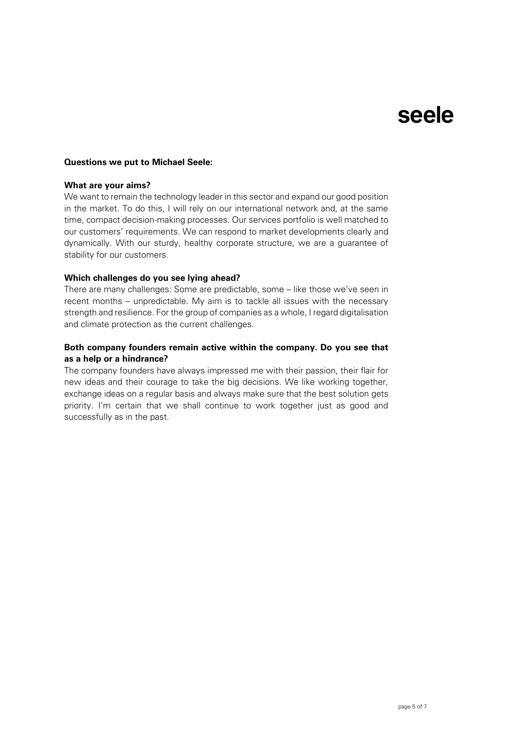#### **Questions we put to Michael Seele:**

#### **What are your aims?**

We want to remain the technology leader in this sector and expand our good position in the market. To do this, I will rely on our international network and, at the same time, compact decision-making processes. Our services portfolio is well matched to our customers' requirements. We can respond to market developments clearly and dynamically. With our sturdy, healthy corporate structure, we are a guarantee of stability for our customers.

#### **Which challenges do you see lying ahead?**

There are many challenges: Some are predictable, some – like those we've seen in recent months – unpredictable. My aim is to tackle all issues with the necessary strength and resilience. For the group of companies as a whole, I regard digitalisation and climate protection as the current challenges.

#### **Both company founders remain active within the company. Do you see that as a help or a hindrance?**

The company founders have always impressed me with their passion, their flair for new ideas and their courage to take the big decisions. We like working together, exchange ideas on a regular basis and always make sure that the best solution gets priority. I'm certain that we shall continue to work together just as good and successfully as in the past.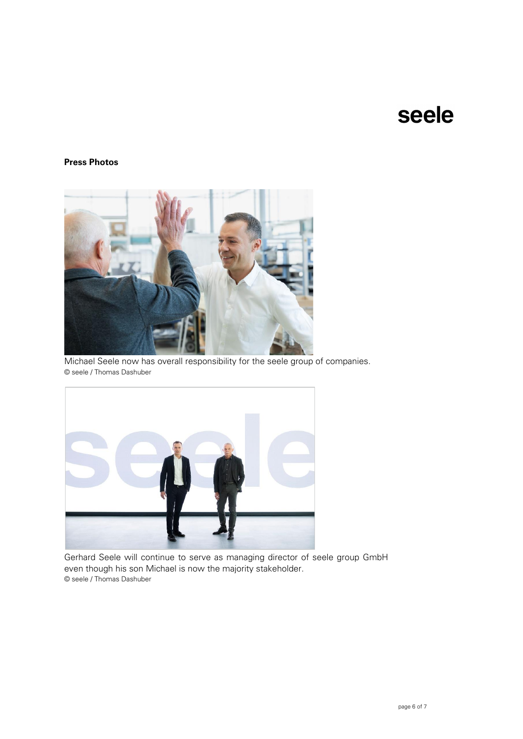### **Press Photos**



Michael Seele now has overall responsibility for the seele group of companies. © seele / Thomas Dashuber



Gerhard Seele will continue to serve as managing director of seele group GmbH even though his son Michael is now the majority stakeholder. © seele / Thomas Dashuber